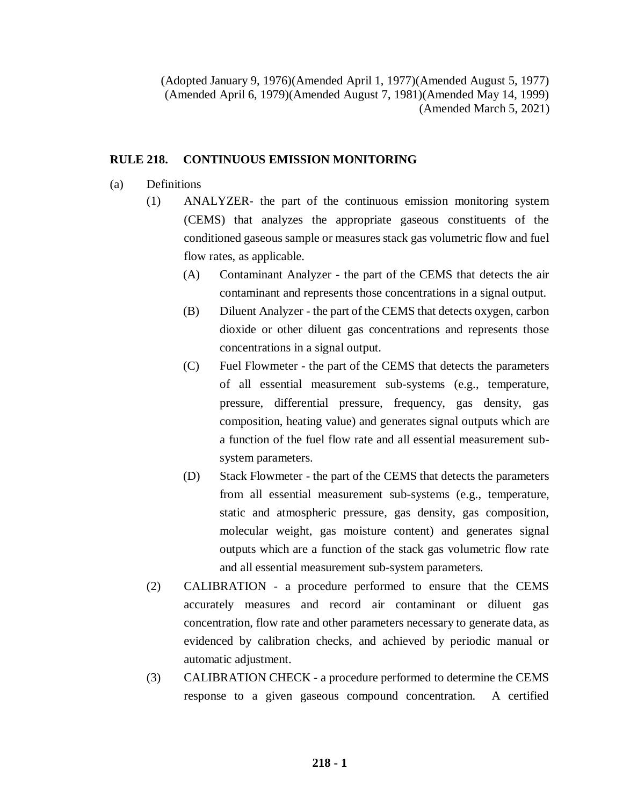(Adopted January 9, 1976)(Amended April 1, 1977)(Amended August 5, 1977) (Amended April 6, 1979)(Amended August 7, 1981)(Amended May 14, 1999) (Amended March 5, 2021)

## **RULE 218. CONTINUOUS EMISSION MONITORING**

- (a) Definitions
	- (1) ANALYZER- the part of the continuous emission monitoring system (CEMS) that analyzes the appropriate gaseous constituents of the conditioned gaseous sample or measures stack gas volumetric flow and fuel flow rates, as applicable.
		- (A) Contaminant Analyzer the part of the CEMS that detects the air contaminant and represents those concentrations in a signal output.
		- (B) Diluent Analyzer the part of the CEMS that detects oxygen, carbon dioxide or other diluent gas concentrations and represents those concentrations in a signal output.
		- (C) Fuel Flowmeter the part of the CEMS that detects the parameters of all essential measurement sub-systems (e.g., temperature, pressure, differential pressure, frequency, gas density, gas composition, heating value) and generates signal outputs which are a function of the fuel flow rate and all essential measurement subsystem parameters.
		- (D) Stack Flowmeter the part of the CEMS that detects the parameters from all essential measurement sub-systems (e.g., temperature, static and atmospheric pressure, gas density, gas composition, molecular weight, gas moisture content) and generates signal outputs which are a function of the stack gas volumetric flow rate and all essential measurement sub-system parameters.
	- (2) CALIBRATION a procedure performed to ensure that the CEMS accurately measures and record air contaminant or diluent gas concentration, flow rate and other parameters necessary to generate data, as evidenced by calibration checks, and achieved by periodic manual or automatic adjustment.
	- (3) CALIBRATION CHECK a procedure performed to determine the CEMS response to a given gaseous compound concentration. A certified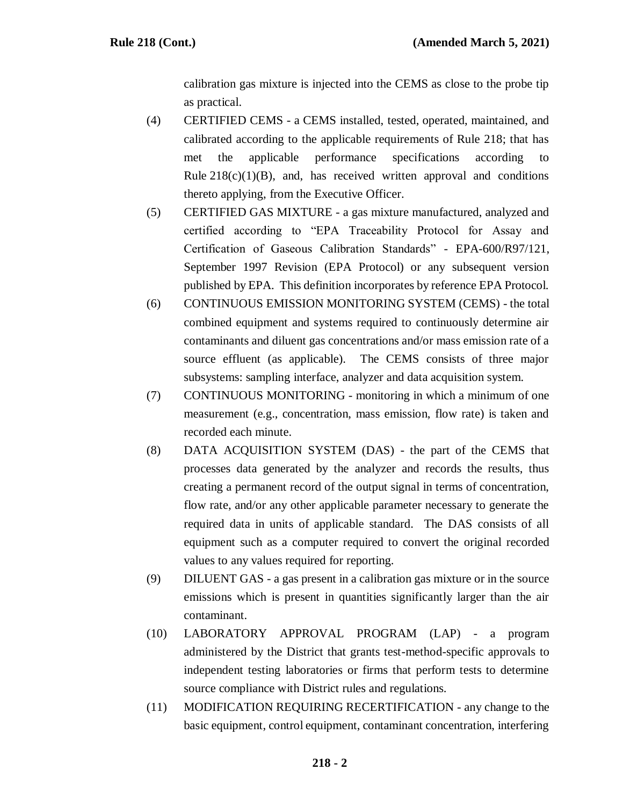calibration gas mixture is injected into the CEMS as close to the probe tip as practical.

- (4) CERTIFIED CEMS a CEMS installed, tested, operated, maintained, and calibrated according to the applicable requirements of Rule 218; that has met the applicable performance specifications according to Rule  $218(c)(1)(B)$ , and, has received written approval and conditions thereto applying, from the Executive Officer.
- (5) CERTIFIED GAS MIXTURE a gas mixture manufactured, analyzed and certified according to "EPA Traceability Protocol for Assay and Certification of Gaseous Calibration Standards" - EPA-600/R97/121, September 1997 Revision (EPA Protocol) or any subsequent version published by EPA. This definition incorporates by reference EPA Protocol.
- (6) CONTINUOUS EMISSION MONITORING SYSTEM (CEMS) the total combined equipment and systems required to continuously determine air contaminants and diluent gas concentrations and/or mass emission rate of a source effluent (as applicable). The CEMS consists of three major subsystems: sampling interface, analyzer and data acquisition system.
- (7) CONTINUOUS MONITORING monitoring in which a minimum of one measurement (e.g., concentration, mass emission, flow rate) is taken and recorded each minute.
- (8) DATA ACQUISITION SYSTEM (DAS) the part of the CEMS that processes data generated by the analyzer and records the results, thus creating a permanent record of the output signal in terms of concentration, flow rate, and/or any other applicable parameter necessary to generate the required data in units of applicable standard. The DAS consists of all equipment such as a computer required to convert the original recorded values to any values required for reporting.
- (9) DILUENT GAS a gas present in a calibration gas mixture or in the source emissions which is present in quantities significantly larger than the air contaminant.
- (10) LABORATORY APPROVAL PROGRAM (LAP) a program administered by the District that grants test-method-specific approvals to independent testing laboratories or firms that perform tests to determine source compliance with District rules and regulations.
- (11) MODIFICATION REQUIRING RECERTIFICATION any change to the basic equipment, control equipment, contaminant concentration, interfering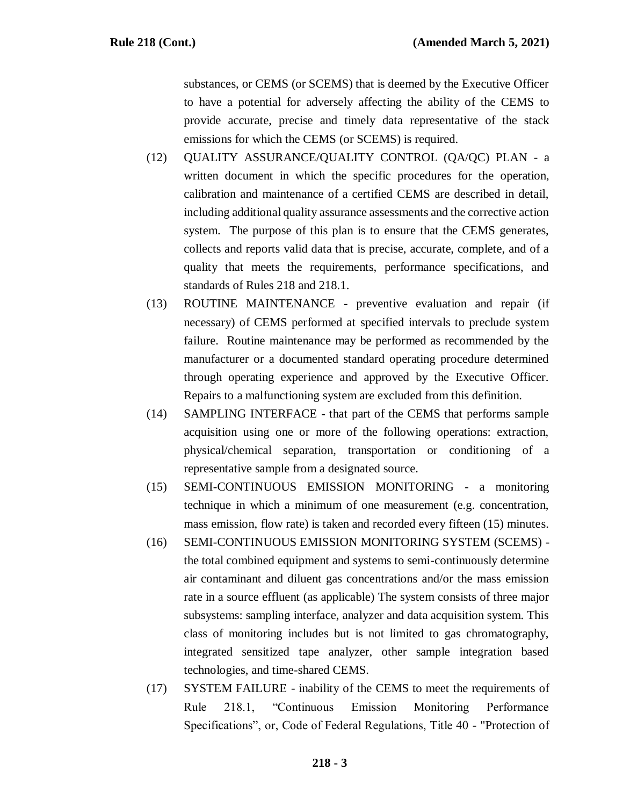substances, or CEMS (or SCEMS) that is deemed by the Executive Officer to have a potential for adversely affecting the ability of the CEMS to provide accurate, precise and timely data representative of the stack emissions for which the CEMS (or SCEMS) is required.

- (12) QUALITY ASSURANCE/QUALITY CONTROL (QA/QC) PLAN a written document in which the specific procedures for the operation, calibration and maintenance of a certified CEMS are described in detail, including additional quality assurance assessments and the corrective action system. The purpose of this plan is to ensure that the CEMS generates, collects and reports valid data that is precise, accurate, complete, and of a quality that meets the requirements, performance specifications, and standards of Rules 218 and 218.1.
- (13) ROUTINE MAINTENANCE preventive evaluation and repair (if necessary) of CEMS performed at specified intervals to preclude system failure. Routine maintenance may be performed as recommended by the manufacturer or a documented standard operating procedure determined through operating experience and approved by the Executive Officer. Repairs to a malfunctioning system are excluded from this definition.
- (14) SAMPLING INTERFACE that part of the CEMS that performs sample acquisition using one or more of the following operations: extraction, physical/chemical separation, transportation or conditioning of a representative sample from a designated source.
- (15) SEMI-CONTINUOUS EMISSION MONITORING a monitoring technique in which a minimum of one measurement (e.g. concentration, mass emission, flow rate) is taken and recorded every fifteen (15) minutes.
- (16) SEMI-CONTINUOUS EMISSION MONITORING SYSTEM (SCEMS) the total combined equipment and systems to semi-continuously determine air contaminant and diluent gas concentrations and/or the mass emission rate in a source effluent (as applicable) The system consists of three major subsystems: sampling interface, analyzer and data acquisition system. This class of monitoring includes but is not limited to gas chromatography, integrated sensitized tape analyzer, other sample integration based technologies, and time-shared CEMS.
- (17) SYSTEM FAILURE inability of the CEMS to meet the requirements of Rule 218.1, "Continuous Emission Monitoring Performance Specifications", or, Code of Federal Regulations, Title 40 - "Protection of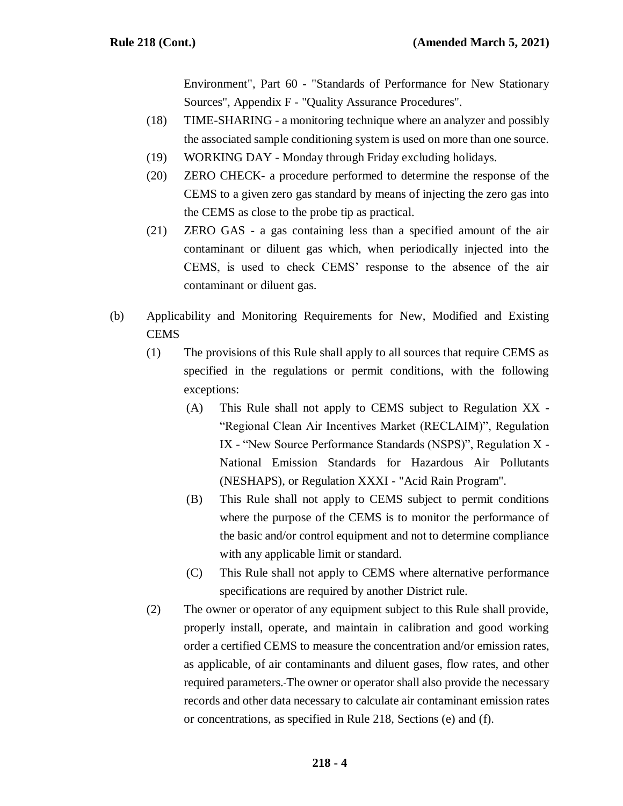Environment", Part 60 - "Standards of Performance for New Stationary Sources", Appendix F - "Quality Assurance Procedures".

- (18) TIME-SHARING a monitoring technique where an analyzer and possibly the associated sample conditioning system is used on more than one source.
- (19) WORKING DAY Monday through Friday excluding holidays.
- (20) ZERO CHECK- a procedure performed to determine the response of the CEMS to a given zero gas standard by means of injecting the zero gas into the CEMS as close to the probe tip as practical.
- (21) ZERO GAS a gas containing less than a specified amount of the air contaminant or diluent gas which, when periodically injected into the CEMS, is used to check CEMS' response to the absence of the air contaminant or diluent gas.
- (b) Applicability and Monitoring Requirements for New, Modified and Existing **CEMS** 
	- (1) The provisions of this Rule shall apply to all sources that require CEMS as specified in the regulations or permit conditions, with the following exceptions:
		- (A) This Rule shall not apply to CEMS subject to Regulation XX "Regional Clean Air Incentives Market (RECLAIM)", Regulation IX - "New Source Performance Standards (NSPS)", Regulation X - National Emission Standards for Hazardous Air Pollutants (NESHAPS), or Regulation XXXI - "Acid Rain Program".
		- (B) This Rule shall not apply to CEMS subject to permit conditions where the purpose of the CEMS is to monitor the performance of the basic and/or control equipment and not to determine compliance with any applicable limit or standard.
		- (C) This Rule shall not apply to CEMS where alternative performance specifications are required by another District rule.
	- (2) The owner or operator of any equipment subject to this Rule shall provide, properly install, operate, and maintain in calibration and good working order a certified CEMS to measure the concentration and/or emission rates, as applicable, of air contaminants and diluent gases, flow rates, and other required parameters. The owner or operator shall also provide the necessary records and other data necessary to calculate air contaminant emission rates or concentrations, as specified in Rule 218, Sections (e) and (f).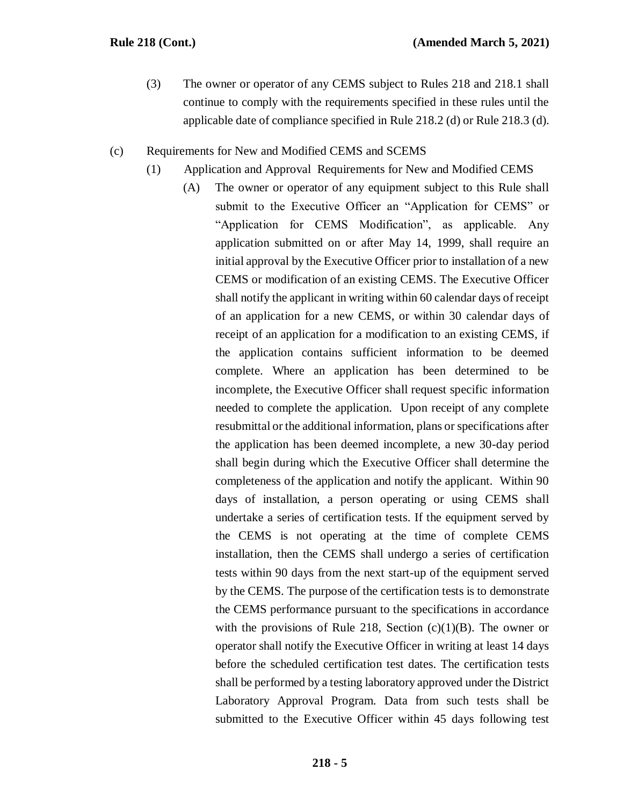(3) The owner or operator of any CEMS subject to Rules 218 and 218.1 shall continue to comply with the requirements specified in these rules until the applicable date of compliance specified in Rule 218.2 (d) or Rule 218.3 (d).

## (c) Requirements for New and Modified CEMS and SCEMS

- (1) Application and Approval Requirements for New and Modified CEMS
	- (A) The owner or operator of any equipment subject to this Rule shall submit to the Executive Officer an "Application for CEMS" or "Application for CEMS Modification", as applicable. Any application submitted on or after May 14, 1999, shall require an initial approval by the Executive Officer prior to installation of a new CEMS or modification of an existing CEMS. The Executive Officer shall notify the applicant in writing within 60 calendar days of receipt of an application for a new CEMS, or within 30 calendar days of receipt of an application for a modification to an existing CEMS, if the application contains sufficient information to be deemed complete. Where an application has been determined to be incomplete, the Executive Officer shall request specific information needed to complete the application. Upon receipt of any complete resubmittal or the additional information, plans or specifications after the application has been deemed incomplete, a new 30-day period shall begin during which the Executive Officer shall determine the completeness of the application and notify the applicant. Within 90 days of installation, a person operating or using CEMS shall undertake a series of certification tests. If the equipment served by the CEMS is not operating at the time of complete CEMS installation, then the CEMS shall undergo a series of certification tests within 90 days from the next start-up of the equipment served by the CEMS. The purpose of the certification tests is to demonstrate the CEMS performance pursuant to the specifications in accordance with the provisions of Rule 218, Section  $(c)(1)(B)$ . The owner or operator shall notify the Executive Officer in writing at least 14 days before the scheduled certification test dates. The certification tests shall be performed by a testing laboratory approved under the District Laboratory Approval Program. Data from such tests shall be submitted to the Executive Officer within 45 days following test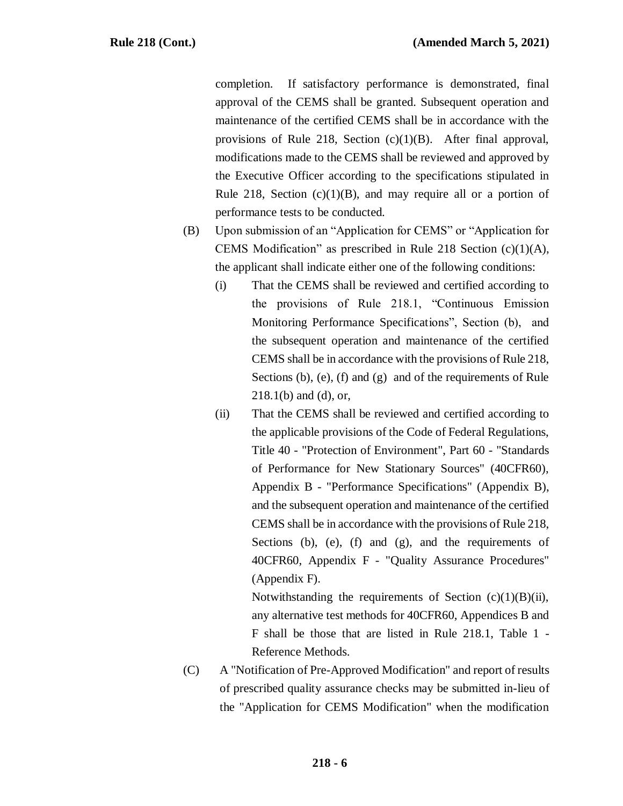completion. If satisfactory performance is demonstrated, final approval of the CEMS shall be granted. Subsequent operation and maintenance of the certified CEMS shall be in accordance with the provisions of Rule 218, Section  $(c)(1)(B)$ . After final approval, modifications made to the CEMS shall be reviewed and approved by the Executive Officer according to the specifications stipulated in Rule 218, Section  $(c)(1)(B)$ , and may require all or a portion of performance tests to be conducted.

- (B) Upon submission of an "Application for CEMS" or "Application for CEMS Modification" as prescribed in Rule 218 Section (c)(1)(A), the applicant shall indicate either one of the following conditions:
	- (i) That the CEMS shall be reviewed and certified according to the provisions of Rule 218.1, "Continuous Emission Monitoring Performance Specifications", Section (b), and the subsequent operation and maintenance of the certified CEMS shall be in accordance with the provisions of Rule 218, Sections (b), (e), (f) and (g) and of the requirements of Rule 218.1(b) and (d), or,
	- (ii) That the CEMS shall be reviewed and certified according to the applicable provisions of the Code of Federal Regulations, Title 40 - "Protection of Environment", Part 60 - "Standards of Performance for New Stationary Sources" (40CFR60), Appendix B - "Performance Specifications" (Appendix B), and the subsequent operation and maintenance of the certified CEMS shall be in accordance with the provisions of Rule 218, Sections (b), (e), (f) and (g), and the requirements of 40CFR60, Appendix F - "Quality Assurance Procedures" (Appendix F).

Notwithstanding the requirements of Section  $(c)(1)(B)(ii)$ , any alternative test methods for 40CFR60, Appendices B and F shall be those that are listed in Rule 218.1, Table 1 - Reference Methods.

(C) A "Notification of Pre-Approved Modification" and report of results of prescribed quality assurance checks may be submitted in-lieu of the "Application for CEMS Modification" when the modification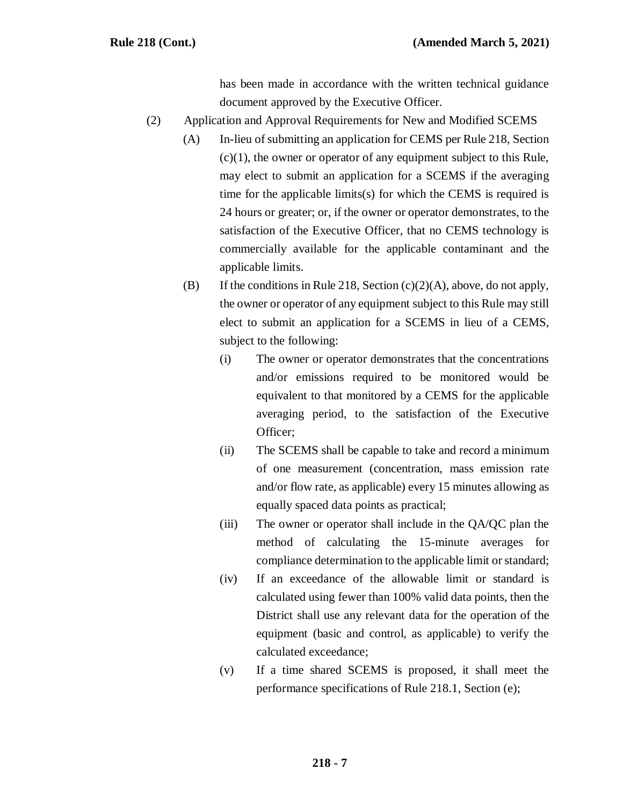has been made in accordance with the written technical guidance document approved by the Executive Officer.

- (2) Application and Approval Requirements for New and Modified SCEMS
	- (A) In-lieu of submitting an application for CEMS per Rule 218, Section  $(c)(1)$ , the owner or operator of any equipment subject to this Rule, may elect to submit an application for a SCEMS if the averaging time for the applicable limits(s) for which the CEMS is required is 24 hours or greater; or, if the owner or operator demonstrates, to the satisfaction of the Executive Officer, that no CEMS technology is commercially available for the applicable contaminant and the applicable limits.
	- (B) If the conditions in Rule 218, Section  $(c)(2)(A)$ , above, do not apply, the owner or operator of any equipment subject to this Rule may still elect to submit an application for a SCEMS in lieu of a CEMS, subject to the following:
		- (i) The owner or operator demonstrates that the concentrations and/or emissions required to be monitored would be equivalent to that monitored by a CEMS for the applicable averaging period, to the satisfaction of the Executive Officer;
		- (ii) The SCEMS shall be capable to take and record a minimum of one measurement (concentration, mass emission rate and/or flow rate, as applicable) every 15 minutes allowing as equally spaced data points as practical;
		- (iii) The owner or operator shall include in the QA/QC plan the method of calculating the 15-minute averages for compliance determination to the applicable limit or standard;
		- (iv) If an exceedance of the allowable limit or standard is calculated using fewer than 100% valid data points, then the District shall use any relevant data for the operation of the equipment (basic and control, as applicable) to verify the calculated exceedance;
		- (v) If a time shared SCEMS is proposed, it shall meet the performance specifications of Rule 218.1, Section (e);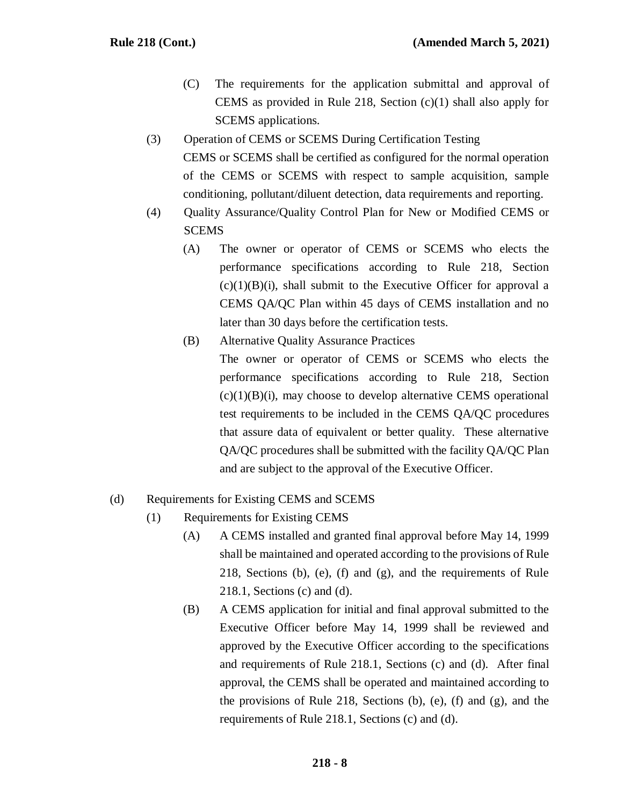- (C) The requirements for the application submittal and approval of CEMS as provided in Rule 218, Section (c)(1) shall also apply for SCEMS applications.
- (3) Operation of CEMS or SCEMS During Certification Testing CEMS or SCEMS shall be certified as configured for the normal operation of the CEMS or SCEMS with respect to sample acquisition, sample conditioning, pollutant/diluent detection, data requirements and reporting.
- (4) Quality Assurance/Quality Control Plan for New or Modified CEMS or **SCEMS** 
	- (A) The owner or operator of CEMS or SCEMS who elects the performance specifications according to Rule 218, Section  $(c)(1)(B)(i)$ , shall submit to the Executive Officer for approval a CEMS QA/QC Plan within 45 days of CEMS installation and no later than 30 days before the certification tests.
	- (B) Alternative Quality Assurance Practices The owner or operator of CEMS or SCEMS who elects the performance specifications according to Rule 218, Section  $(c)(1)(B)(i)$ , may choose to develop alternative CEMS operational test requirements to be included in the CEMS QA/QC procedures that assure data of equivalent or better quality. These alternative QA/QC procedures shall be submitted with the facility QA/QC Plan and are subject to the approval of the Executive Officer.

## (d) Requirements for Existing CEMS and SCEMS

- (1) Requirements for Existing CEMS
	- (A) A CEMS installed and granted final approval before May 14, 1999 shall be maintained and operated according to the provisions of Rule 218, Sections (b), (e), (f) and (g), and the requirements of Rule 218.1, Sections (c) and (d).
	- (B) A CEMS application for initial and final approval submitted to the Executive Officer before May 14, 1999 shall be reviewed and approved by the Executive Officer according to the specifications and requirements of Rule 218.1, Sections (c) and (d). After final approval, the CEMS shall be operated and maintained according to the provisions of Rule 218, Sections (b), (e), (f) and (g), and the requirements of Rule 218.1, Sections (c) and (d).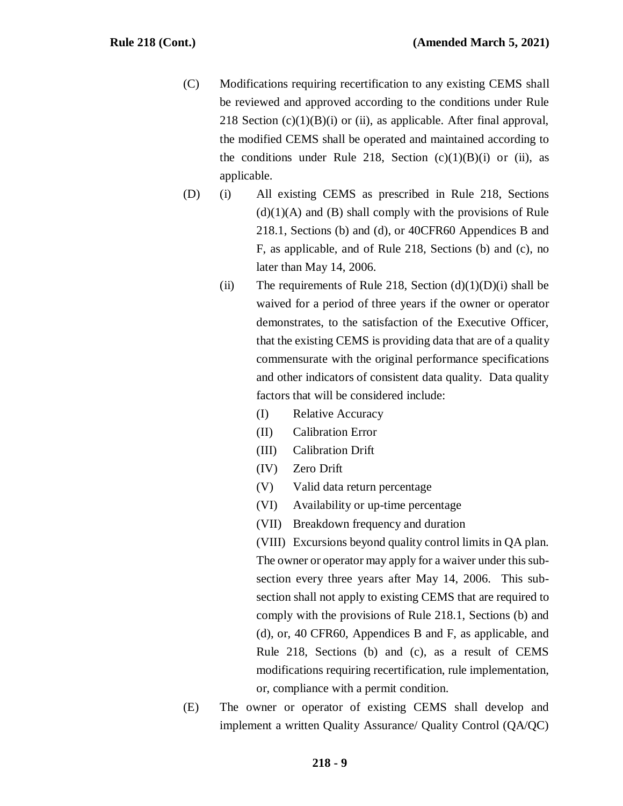- (C) Modifications requiring recertification to any existing CEMS shall be reviewed and approved according to the conditions under Rule 218 Section  $(c)(1)(B)(i)$  or (ii), as applicable. After final approval, the modified CEMS shall be operated and maintained according to the conditions under Rule 218, Section  $(c)(1)(B)(i)$  or (ii), as applicable.
- (D) (i) All existing CEMS as prescribed in Rule 218, Sections  $(d)(1)(A)$  and  $(B)$  shall comply with the provisions of Rule 218.1, Sections (b) and (d), or 40CFR60 Appendices B and F, as applicable, and of Rule 218, Sections (b) and (c), no later than May 14, 2006.
	- (ii) The requirements of Rule 218, Section  $(d)(1)(D)(i)$  shall be waived for a period of three years if the owner or operator demonstrates, to the satisfaction of the Executive Officer, that the existing CEMS is providing data that are of a quality commensurate with the original performance specifications and other indicators of consistent data quality. Data quality factors that will be considered include:
		- (I) Relative Accuracy
		- (II) Calibration Error
		- (III) Calibration Drift
		- (IV) Zero Drift
		- (V) Valid data return percentage
		- (VI) Availability or up-time percentage
		- (VII) Breakdown frequency and duration

(VIII) Excursions beyond quality control limits in QA plan. The owner or operator may apply for a waiver under this subsection every three years after May 14, 2006. This subsection shall not apply to existing CEMS that are required to comply with the provisions of Rule 218.1, Sections (b) and (d), or, 40 CFR60, Appendices B and F, as applicable, and Rule 218, Sections (b) and (c), as a result of CEMS modifications requiring recertification, rule implementation, or, compliance with a permit condition.

(E) The owner or operator of existing CEMS shall develop and implement a written Quality Assurance/ Quality Control (QA/QC)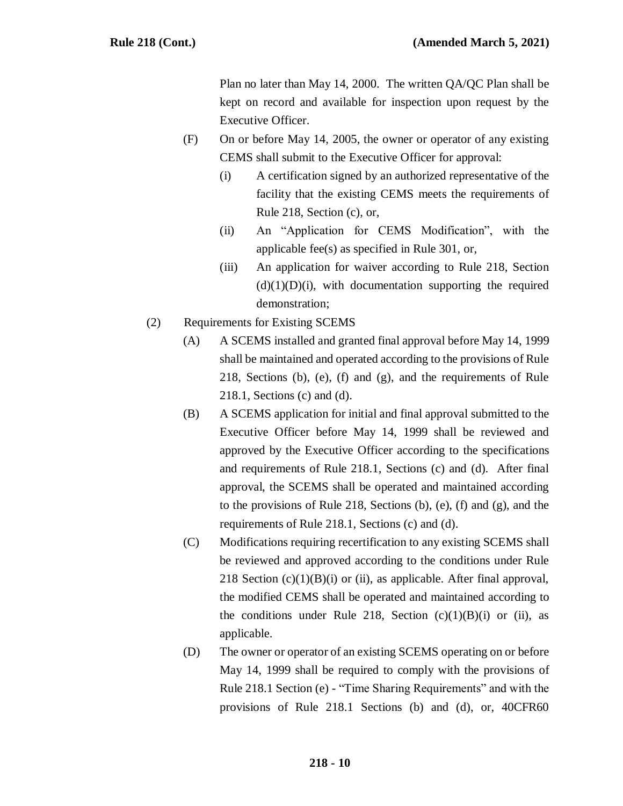Plan no later than May 14, 2000. The written QA/QC Plan shall be kept on record and available for inspection upon request by the Executive Officer.

- (F) On or before May 14, 2005, the owner or operator of any existing CEMS shall submit to the Executive Officer for approval:
	- (i) A certification signed by an authorized representative of the facility that the existing CEMS meets the requirements of Rule 218, Section (c), or,
	- (ii) An "Application for CEMS Modification", with the applicable fee(s) as specified in Rule 301, or,
	- (iii) An application for waiver according to Rule 218, Section  $(d)(1)(D)(i)$ , with documentation supporting the required demonstration;
- (2) Requirements for Existing SCEMS
	- (A) A SCEMS installed and granted final approval before May 14, 1999 shall be maintained and operated according to the provisions of Rule 218, Sections (b), (e), (f) and (g), and the requirements of Rule 218.1, Sections (c) and (d).
	- (B) A SCEMS application for initial and final approval submitted to the Executive Officer before May 14, 1999 shall be reviewed and approved by the Executive Officer according to the specifications and requirements of Rule 218.1, Sections (c) and (d). After final approval, the SCEMS shall be operated and maintained according to the provisions of Rule 218, Sections (b), (e), (f) and (g), and the requirements of Rule 218.1, Sections (c) and (d).
	- (C) Modifications requiring recertification to any existing SCEMS shall be reviewed and approved according to the conditions under Rule 218 Section  $(c)(1)(B)(i)$  or (ii), as applicable. After final approval, the modified CEMS shall be operated and maintained according to the conditions under Rule 218, Section  $(c)(1)(B)(i)$  or (ii), as applicable.
	- (D) The owner or operator of an existing SCEMS operating on or before May 14, 1999 shall be required to comply with the provisions of Rule 218.1 Section (e) - "Time Sharing Requirements" and with the provisions of Rule 218.1 Sections (b) and (d), or, 40CFR60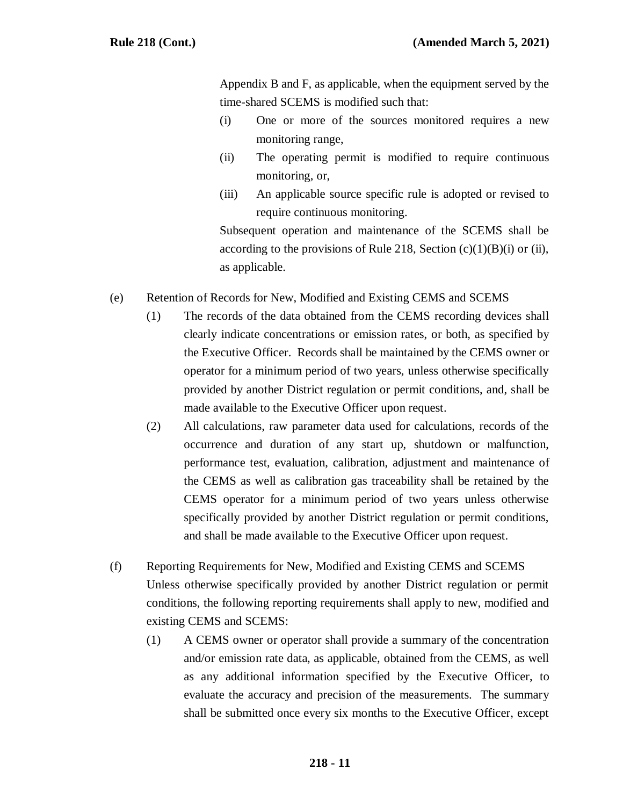Appendix B and F, as applicable, when the equipment served by the time-shared SCEMS is modified such that:

- (i) One or more of the sources monitored requires a new monitoring range,
- (ii) The operating permit is modified to require continuous monitoring, or,
- (iii) An applicable source specific rule is adopted or revised to require continuous monitoring.

Subsequent operation and maintenance of the SCEMS shall be according to the provisions of Rule 218, Section  $(c)(1)(B)(i)$  or (ii), as applicable.

- (e) Retention of Records for New, Modified and Existing CEMS and SCEMS
	- (1) The records of the data obtained from the CEMS recording devices shall clearly indicate concentrations or emission rates, or both, as specified by the Executive Officer. Records shall be maintained by the CEMS owner or operator for a minimum period of two years, unless otherwise specifically provided by another District regulation or permit conditions, and, shall be made available to the Executive Officer upon request.
	- (2) All calculations, raw parameter data used for calculations, records of the occurrence and duration of any start up, shutdown or malfunction, performance test, evaluation, calibration, adjustment and maintenance of the CEMS as well as calibration gas traceability shall be retained by the CEMS operator for a minimum period of two years unless otherwise specifically provided by another District regulation or permit conditions, and shall be made available to the Executive Officer upon request.
- (f) Reporting Requirements for New, Modified and Existing CEMS and SCEMS Unless otherwise specifically provided by another District regulation or permit conditions, the following reporting requirements shall apply to new, modified and existing CEMS and SCEMS:
	- (1) A CEMS owner or operator shall provide a summary of the concentration and/or emission rate data, as applicable, obtained from the CEMS, as well as any additional information specified by the Executive Officer, to evaluate the accuracy and precision of the measurements. The summary shall be submitted once every six months to the Executive Officer, except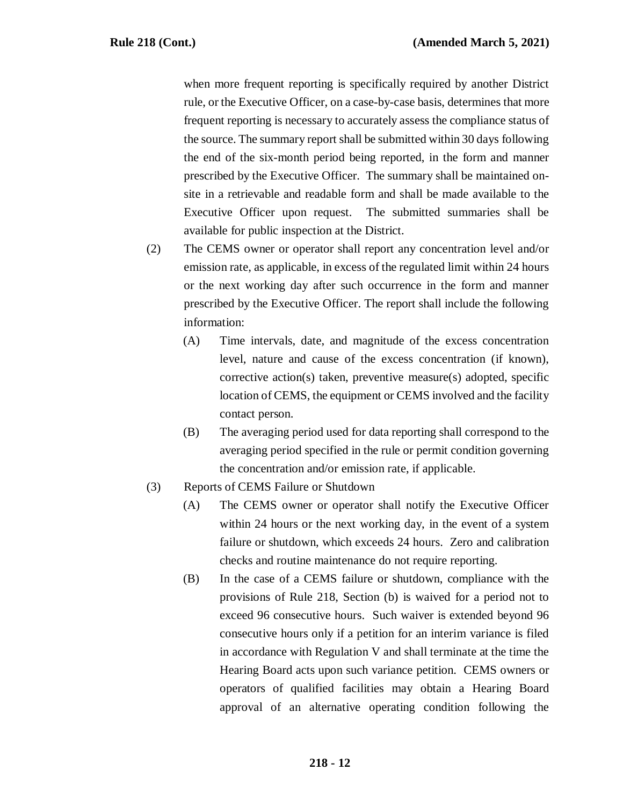when more frequent reporting is specifically required by another District rule, or the Executive Officer, on a case-by-case basis, determines that more frequent reporting is necessary to accurately assess the compliance status of the source. The summary report shall be submitted within 30 days following the end of the six-month period being reported, in the form and manner prescribed by the Executive Officer. The summary shall be maintained onsite in a retrievable and readable form and shall be made available to the Executive Officer upon request. The submitted summaries shall be available for public inspection at the District.

- (2) The CEMS owner or operator shall report any concentration level and/or emission rate, as applicable, in excess of the regulated limit within 24 hours or the next working day after such occurrence in the form and manner prescribed by the Executive Officer. The report shall include the following information:
	- (A) Time intervals, date, and magnitude of the excess concentration level, nature and cause of the excess concentration (if known), corrective action(s) taken, preventive measure(s) adopted, specific location of CEMS, the equipment or CEMS involved and the facility contact person.
	- (B) The averaging period used for data reporting shall correspond to the averaging period specified in the rule or permit condition governing the concentration and/or emission rate, if applicable.
- (3) Reports of CEMS Failure or Shutdown
	- (A) The CEMS owner or operator shall notify the Executive Officer within 24 hours or the next working day, in the event of a system failure or shutdown, which exceeds 24 hours. Zero and calibration checks and routine maintenance do not require reporting.
	- (B) In the case of a CEMS failure or shutdown, compliance with the provisions of Rule 218, Section (b) is waived for a period not to exceed 96 consecutive hours. Such waiver is extended beyond 96 consecutive hours only if a petition for an interim variance is filed in accordance with Regulation V and shall terminate at the time the Hearing Board acts upon such variance petition. CEMS owners or operators of qualified facilities may obtain a Hearing Board approval of an alternative operating condition following the